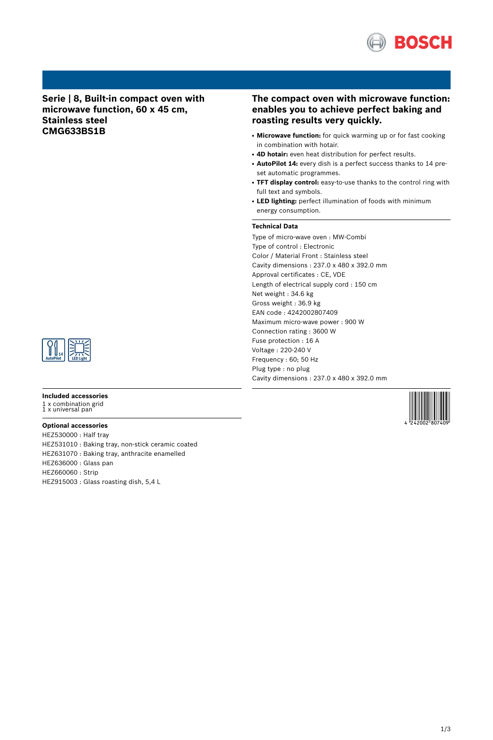

**Serie | 8, Built-in compact oven with microwave function, 60 x 45 cm, Stainless steel CMG633BS1B**

## **The compact oven with microwave function: enables you to achieve perfect baking and roasting results very quickly.**

- Microwave function: for quick warming up or for fast cooking in combination with hotair.
- **4D hotair:** even heat distribution for perfect results.
- AutoPilot 14: every dish is a perfect success thanks to 14 preset automatic programmes.
- **TFT display control:** easy-to-use thanks to the control ring with full text and symbols.
- LED lighting: perfect illumination of foods with minimum energy consumption.

#### **Technical Data**

Type of micro-wave oven : MW-Combi Type of control : Electronic Color / Material Front : Stainless steel Cavity dimensions : 237.0 x 480 x 392.0 mm Approval certificates : CE, VDE Length of electrical supply cord : 150 cm Net weight : 34.6 kg Gross weight : 36.9 kg EAN code : 4242002807409 Maximum micro-wave power : 900 W Connection rating : 3600 W Fuse protection : 16 A Voltage : 220-240 V Frequency : 60; 50 Hz Plug type : no plug Cavity dimensions : 237.0 x 480 x 392.0 mm

4 242002 807409



#### **Included accessories**

1 x combination grid 1 x universal pan

#### **Optional accessories**

HEZ530000 : Half tray HEZ531010 : Baking tray, non-stick ceramic coated HEZ631070 : Baking tray, anthracite enamelled HEZ636000 : Glass pan HEZ660060 : Strip HEZ915003 : Glass roasting dish, 5,4 L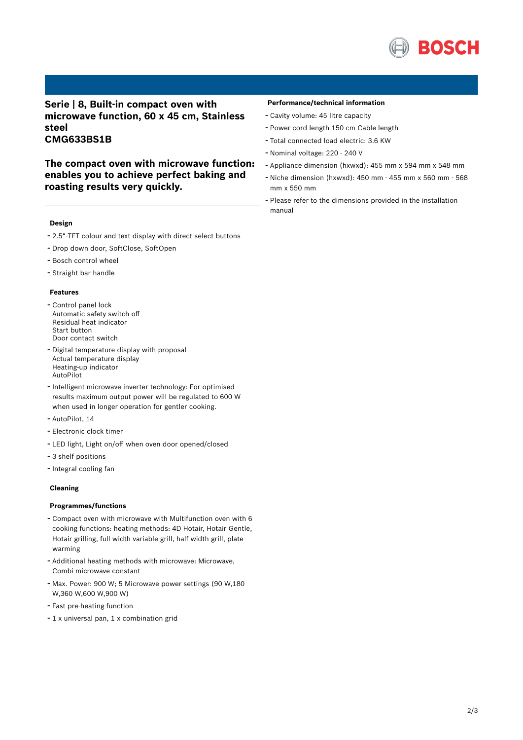

## **Serie | 8, Built-in compact oven with microwave function, 60 x 45 cm, Stainless steel CMG633BS1B**

**The compact oven with microwave function: enables you to achieve perfect baking and roasting results very quickly.**

### **Design**

- 2.5"-TFT colour and text display with direct select buttons
- Drop down door, SoftClose, SoftOpen
- Bosch control wheel
- Straight bar handle

#### **Features**

- Control panel lock Automatic safety switch off Residual heat indicator Start button Door contact switch
- Digital temperature display with proposal Actual temperature display Heating-up indicator AutoPilot
- Intelligent microwave inverter technology: For optimised results maximum output power will be regulated to 600 W when used in longer operation for gentler cooking.
- AutoPilot, <sup>14</sup>
- Electronic clock timer
- LED light, Light on/off when oven door opened/closed
- 3 shelf positions
- Integral cooling fan

#### **Cleaning**

### **Programmes/functions**

- Compact oven with microwave with Multifunction oven with <sup>6</sup> cooking functions: heating methods: 4D Hotair, Hotair Gentle, Hotair grilling, full width variable grill, half width grill, plate warming
- Additional heating methods with microwave: Microwave, Combi microwave constant
- Max. Power: <sup>900</sup> W; <sup>5</sup> Microwave power settings (90 W,180 W,360 W,600 W,900 W)
- Fast pre-heating function
- <sup>1</sup> <sup>x</sup> universal pan, <sup>1</sup> <sup>x</sup> combination grid

#### **Performance/technical information**

- Cavity volume: <sup>45</sup> litre capacity
- Power cord length <sup>150</sup> cm Cable length
- Total connected load electric: 3.6 KW
- Nominal voltage: <sup>220</sup> <sup>240</sup> <sup>V</sup>
- Appliance dimension (hxwxd): 455 mm x 594 mm x 548 mm
- Niche dimension (hxwxd): <sup>450</sup> mm <sup>455</sup> mm <sup>x</sup> <sup>560</sup> mm <sup>568</sup> mm x 550 mm
- Please refer to the dimensions provided in the installation manual